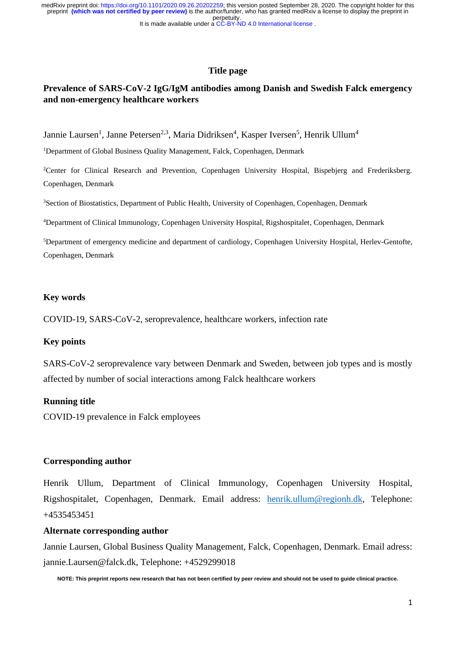# **Title page**

# **Prevalence of SARS-CoV-2 IgG/IgM antibodies among Danish and Swedish Falck emergency and non-emergency healthcare workers**

Jannie Laursen<sup>1</sup>, Janne Petersen<sup>2,3</sup>, Maria Didriksen<sup>4</sup>, Kasper Iversen<sup>5</sup>, Henrik Ullum<sup>4</sup>

<sup>1</sup>Department of Global Business Quality Management, Falck, Copenhagen, Denmark

<sup>2</sup>Center for Clinical Research and Prevention, Copenhagen University Hospital, Bispebjerg and Frederiksberg. Copenhagen, Denmark

<sup>3</sup>Section of Biostatistics, Department of Public Health, University of Copenhagen, Copenhagen, Denmark

<sup>4</sup>Department of Clinical Immunology, Copenhagen University Hospital, Rigshospitalet, Copenhagen, Denmark

<sup>5</sup>Department of emergency medicine and department of cardiology, Copenhagen University Hospital, Herlev-Gentofte, Copenhagen, Denmark

# **Key words**

COVID-19, SARS-CoV-2, seroprevalence, healthcare workers, infection rate

## **Key points**

SARS-CoV-2 seroprevalence vary between Denmark and Sweden, between job types and is mostly affected by number of social interactions among Falck healthcare workers

# **Running title**

COVID-19 prevalence in Falck employees

#### **Corresponding author**

Henrik Ullum, Department of Clinical Immunology, Copenhagen University Hospital, Rigshospitalet, Copenhagen, Denmark. Email address: [henrik.ullum@regionh.dk,](mailto:henrik.ullum@regionh.dk) Telephone: +4535453451

#### **Alternate corresponding author**

Jannie Laursen, Global Business Quality Management, Falck, Copenhagen, Denmark. Email adress: [jannie.Laursen@falck.dk,](mailto:jannie.Laursen@falck.dk) Telephone: +4529299018

**NOTE: This preprint reports new research that has not been certified by peer review and should not be used to guide clinical practice.**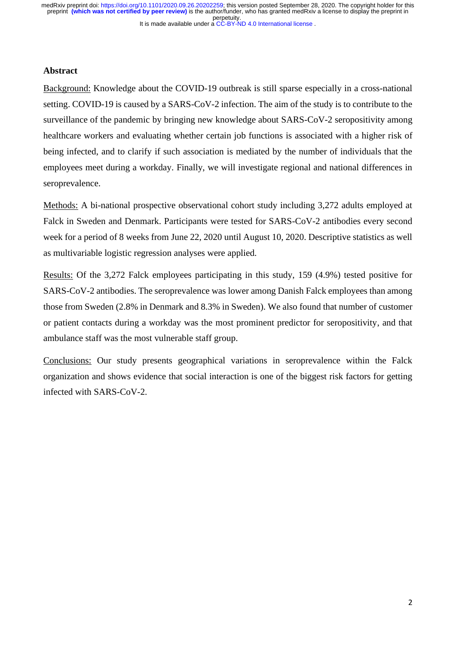## **Abstract**

Background: Knowledge about the COVID-19 outbreak is still sparse especially in a cross-national setting. COVID-19 is caused by a SARS-CoV-2 infection. The aim of the study is to contribute to the surveillance of the pandemic by bringing new knowledge about SARS-CoV-2 seropositivity among healthcare workers and evaluating whether certain job functions is associated with a higher risk of being infected, and to clarify if such association is mediated by the number of individuals that the employees meet during a workday. Finally, we will investigate regional and national differences in seroprevalence.

Methods: A bi-national prospective observational cohort study including 3,272 adults employed at Falck in Sweden and Denmark. Participants were tested for SARS-CoV-2 antibodies every second week for a period of 8 weeks from June 22, 2020 until August 10, 2020. Descriptive statistics as well as multivariable logistic regression analyses were applied.

Results: Of the 3,272 Falck employees participating in this study, 159 (4.9%) tested positive for SARS-CoV-2 antibodies. The seroprevalence was lower among Danish Falck employees than among those from Sweden (2.8% in Denmark and 8.3% in Sweden). We also found that number of customer or patient contacts during a workday was the most prominent predictor for seropositivity, and that ambulance staff was the most vulnerable staff group.

Conclusions: Our study presents geographical variations in seroprevalence within the Falck organization and shows evidence that social interaction is one of the biggest risk factors for getting infected with SARS-CoV-2.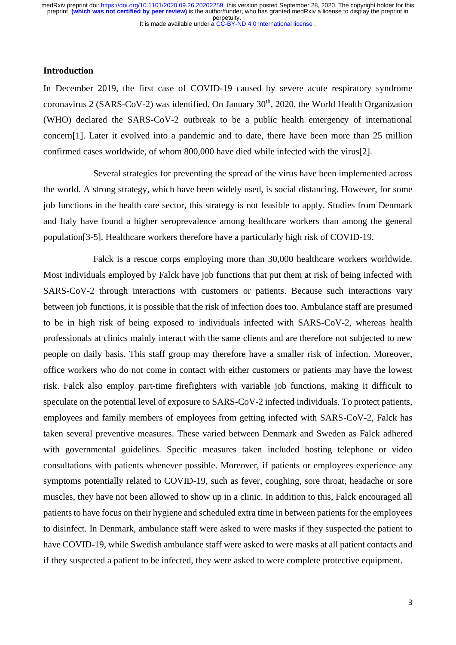# **Introduction**

In December 2019, the first case of COVID-19 caused by severe acute respiratory syndrome coronavirus 2 (SARS-CoV-2) was identified. On January  $30<sup>th</sup>$ , 2020, the World Health Organization (WHO) declared the SARS-CoV-2 outbreak to be a public health emergency of international concern[1]. Later it evolved into a pandemic and to date, there have been more than 25 million confirmed cases worldwide, of whom 800,000 have died while infected with the virus[2].

Several strategies for preventing the spread of the virus have been implemented across the world. A strong strategy, which have been widely used, is social distancing. However, for some job functions in the health care sector, this strategy is not feasible to apply. Studies from Denmark and Italy have found a higher seroprevalence among healthcare workers than among the general population[3-5]. Healthcare workers therefore have a particularly high risk of COVID-19.

Falck is a rescue corps employing more than 30,000 healthcare workers worldwide. Most individuals employed by Falck have job functions that put them at risk of being infected with SARS-CoV-2 through interactions with customers or patients. Because such interactions vary between job functions, it is possible that the risk of infection does too. Ambulance staff are presumed to be in high risk of being exposed to individuals infected with SARS-CoV-2, whereas health professionals at clinics mainly interact with the same clients and are therefore not subjected to new people on daily basis. This staff group may therefore have a smaller risk of infection. Moreover, office workers who do not come in contact with either customers or patients may have the lowest risk. Falck also employ part-time firefighters with variable job functions, making it difficult to speculate on the potential level of exposure to SARS-CoV-2 infected individuals. To protect patients, employees and family members of employees from getting infected with SARS-CoV-2, Falck has taken several preventive measures. These varied between Denmark and Sweden as Falck adhered with governmental guidelines. Specific measures taken included hosting telephone or video consultations with patients whenever possible. Moreover, if patients or employees experience any symptoms potentially related to COVID-19, such as fever, coughing, sore throat, headache or sore muscles, they have not been allowed to show up in a clinic. In addition to this, Falck encouraged all patients to have focus on their hygiene and scheduled extra time in between patients for the employees to disinfect. In Denmark, ambulance staff were asked to were masks if they suspected the patient to have COVID-19, while Swedish ambulance staff were asked to were masks at all patient contacts and if they suspected a patient to be infected, they were asked to were complete protective equipment.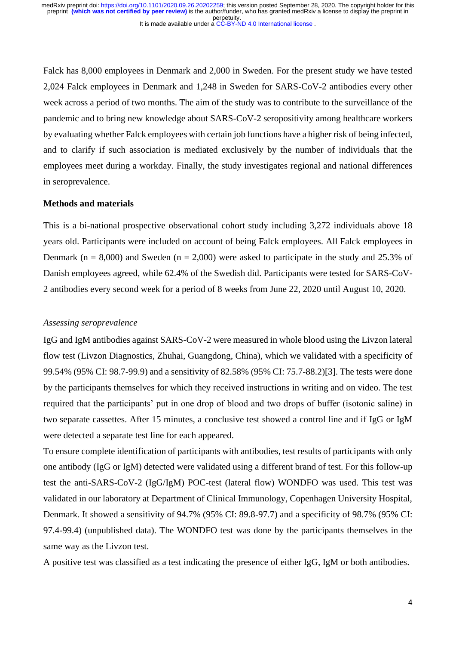Falck has 8,000 employees in Denmark and 2,000 in Sweden. For the present study we have tested 2,024 Falck employees in Denmark and 1,248 in Sweden for SARS-CoV-2 antibodies every other week across a period of two months. The aim of the study was to contribute to the surveillance of the pandemic and to bring new knowledge about SARS-CoV-2 seropositivity among healthcare workers by evaluating whether Falck employees with certain job functions have a higher risk of being infected, and to clarify if such association is mediated exclusively by the number of individuals that the employees meet during a workday. Finally, the study investigates regional and national differences in seroprevalence.

#### **Methods and materials**

This is a bi-national prospective observational cohort study including 3,272 individuals above 18 years old. Participants were included on account of being Falck employees. All Falck employees in Denmark ( $n = 8,000$ ) and Sweden ( $n = 2,000$ ) were asked to participate in the study and 25.3% of Danish employees agreed, while 62.4% of the Swedish did. Participants were tested for SARS-CoV-2 antibodies every second week for a period of 8 weeks from June 22, 2020 until August 10, 2020.

#### *Assessing seroprevalence*

IgG and IgM antibodies against SARS-CoV-2 were measured in whole blood using the Livzon lateral flow test (Livzon Diagnostics, Zhuhai, Guangdong, China), which we validated with a specificity of 99.54% (95% CI: 98.7-99.9) and a sensitivity of 82.58% (95% CI: 75.7-88.2)[3]. The tests were done by the participants themselves for which they received instructions in writing and on video. The test required that the participants' put in one drop of blood and two drops of buffer (isotonic saline) in two separate cassettes. After 15 minutes, a conclusive test showed a control line and if IgG or IgM were detected a separate test line for each appeared.

To ensure complete identification of participants with antibodies, test results of participants with only one antibody (IgG or IgM) detected were validated using a different brand of test. For this follow-up test the anti-SARS-CoV-2 (IgG/IgM) POC-test (lateral flow) WONDFO was used. This test was validated in our laboratory at Department of Clinical Immunology, Copenhagen University Hospital, Denmark. It showed a sensitivity of 94.7% (95% CI: 89.8-97.7) and a specificity of 98.7% (95% CI: 97.4-99.4) (unpublished data). The WONDFO test was done by the participants themselves in the same way as the Livzon test.

A positive test was classified as a test indicating the presence of either IgG, IgM or both antibodies.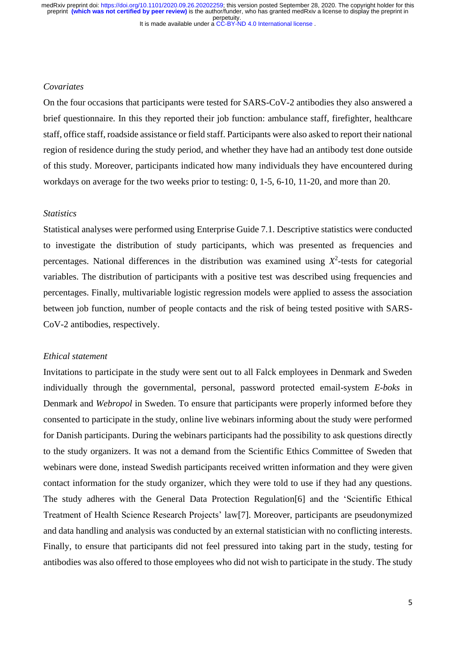# *Covariates*

On the four occasions that participants were tested for SARS-CoV-2 antibodies they also answered a brief questionnaire. In this they reported their job function: ambulance staff, firefighter, healthcare staff, office staff, roadside assistance or field staff. Participants were also asked to report their national region of residence during the study period, and whether they have had an antibody test done outside of this study. Moreover, participants indicated how many individuals they have encountered during workdays on average for the two weeks prior to testing: 0, 1-5, 6-10, 11-20, and more than 20.

## *Statistics*

Statistical analyses were performed using Enterprise Guide 7.1. Descriptive statistics were conducted to investigate the distribution of study participants, which was presented as frequencies and percentages. National differences in the distribution was examined using  $X^2$ -tests for categorial variables. The distribution of participants with a positive test was described using frequencies and percentages. Finally, multivariable logistic regression models were applied to assess the association between job function, number of people contacts and the risk of being tested positive with SARS-CoV-2 antibodies, respectively.

## *Ethical statement*

Invitations to participate in the study were sent out to all Falck employees in Denmark and Sweden individually through the governmental, personal, password protected email-system *E-boks* in Denmark and *Webropol* in Sweden. To ensure that participants were properly informed before they consented to participate in the study, online live webinars informing about the study were performed for Danish participants. During the webinars participants had the possibility to ask questions directly to the study organizers. It was not a demand from the Scientific Ethics Committee of Sweden that webinars were done, instead Swedish participants received written information and they were given contact information for the study organizer, which they were told to use if they had any questions. The study adheres with the General Data Protection Regulation[6] and the 'Scientific Ethical Treatment of Health Science Research Projects' law[7]. Moreover, participants are pseudonymized and data handling and analysis was conducted by an external statistician with no conflicting interests. Finally, to ensure that participants did not feel pressured into taking part in the study, testing for antibodies was also offered to those employees who did not wish to participate in the study. The study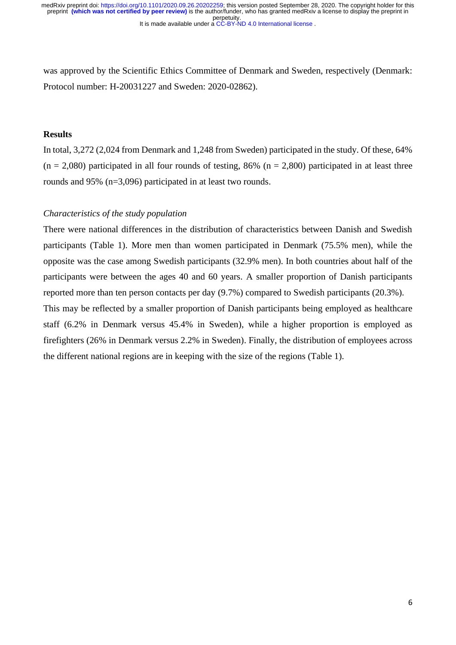was approved by the Scientific Ethics Committee of Denmark and Sweden, respectively (Denmark: Protocol number: H-20031227 and Sweden: 2020-02862).

# **Results**

In total, 3,272 (2,024 from Denmark and 1,248 from Sweden) participated in the study. Of these, 64%  $(n = 2,080)$  participated in all four rounds of testing, 86% (n = 2,800) participated in at least three rounds and 95% (n=3,096) participated in at least two rounds.

# *Characteristics of the study population*

There were national differences in the distribution of characteristics between Danish and Swedish participants (Table 1). More men than women participated in Denmark (75.5% men), while the opposite was the case among Swedish participants (32.9% men). In both countries about half of the participants were between the ages 40 and 60 years. A smaller proportion of Danish participants reported more than ten person contacts per day (9.7%) compared to Swedish participants (20.3%). This may be reflected by a smaller proportion of Danish participants being employed as healthcare staff (6.2% in Denmark versus 45.4% in Sweden), while a higher proportion is employed as

firefighters (26% in Denmark versus 2.2% in Sweden). Finally, the distribution of employees across the different national regions are in keeping with the size of the regions (Table 1).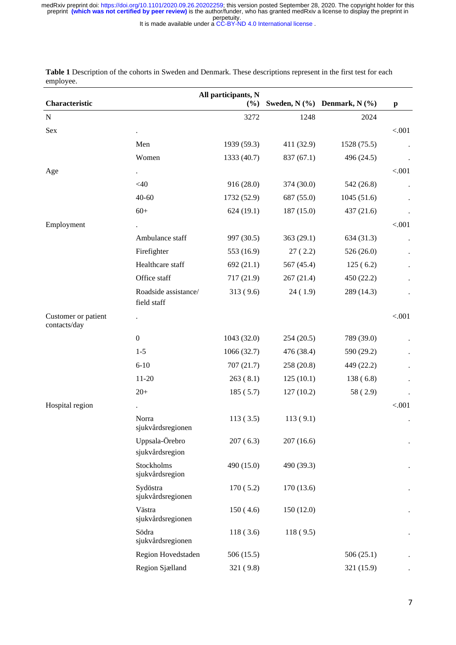It is made available under a CC-BY-ND 4.0 International license.

|                                     |                                   | All participants, N |            |                                  |              |
|-------------------------------------|-----------------------------------|---------------------|------------|----------------------------------|--------------|
| Characteristic                      |                                   | (%)                 |            | Sweden, $N$ (%) Denmark, $N$ (%) | $\mathbf{p}$ |
| ${\bf N}$                           |                                   | 3272                | 1248       | 2024                             |              |
| Sex                                 |                                   |                     |            |                                  | < .001       |
|                                     | Men                               | 1939 (59.3)         | 411 (32.9) | 1528 (75.5)                      |              |
|                                     | Women                             | 1333 (40.7)         | 837 (67.1) | 496 (24.5)                       |              |
| Age                                 | $\bullet$                         |                     |            |                                  | < .001       |
|                                     | $<$ 40                            | 916 (28.0)          | 374 (30.0) | 542 (26.8)                       |              |
|                                     | $40 - 60$                         | 1732 (52.9)         | 687 (55.0) | 1045(51.6)                       |              |
|                                     | $60+$                             | 624(19.1)           | 187 (15.0) | 437 (21.6)                       |              |
| Employment                          |                                   |                     |            |                                  | < .001       |
|                                     | Ambulance staff                   | 997 (30.5)          | 363 (29.1) | 634 (31.3)                       |              |
|                                     | Firefighter                       | 553 (16.9)          | 27(2.2)    | 526 (26.0)                       |              |
|                                     | Healthcare staff                  | 692(21.1)           | 567 (45.4) | 125(6.2)                         |              |
|                                     | Office staff                      | 717 (21.9)          | 267(21.4)  | 450 (22.2)                       |              |
|                                     | Roadside assistance/              | 313(9.6)            | 24(1.9)    | 289 (14.3)                       |              |
|                                     | field staff                       |                     |            |                                  |              |
| Customer or patient<br>contacts/day |                                   |                     |            |                                  | < .001       |
|                                     | $\boldsymbol{0}$                  | 1043 (32.0)         | 254(20.5)  | 789 (39.0)                       |              |
|                                     | $1 - 5$                           | 1066 (32.7)         | 476 (38.4) | 590 (29.2)                       |              |
|                                     | $6 - 10$                          | 707(21.7)           | 258 (20.8) | 449 (22.2)                       |              |
|                                     | $11 - 20$                         | 263(8.1)            | 125(10.1)  | 138(6.8)                         |              |
|                                     | $20+$                             | 185(5.7)            | 127(10.2)  | 58 (2.9)                         |              |
| Hospital region                     |                                   |                     |            |                                  | < .001       |
|                                     | Norra<br>sjukvårdsregionen        | 113(3.5)            | 113(9.1)   |                                  |              |
|                                     | Uppsala-Örebro<br>sjukvårdsregion | 207(6.3)            | 207(16.6)  |                                  |              |
|                                     | Stockholms<br>sjukvårdsregion     | 490 (15.0)          | 490 (39.3) |                                  |              |
|                                     | Sydöstra<br>sjukvårdsregionen     | 170(5.2)            | 170 (13.6) |                                  |              |
|                                     | Västra<br>sjukvårdsregionen       | 150(4.6)            | 150 (12.0) |                                  |              |
|                                     | Södra<br>sjukvårdsregionen        | 118(3.6)            | 118(9.5)   |                                  |              |
|                                     | Region Hovedstaden                | 506 (15.5)          |            | 506(25.1)                        |              |
|                                     | Region Sjælland                   | 321 (9.8)           |            | 321 (15.9)                       |              |

**Table 1** Description of the cohorts in Sweden and Denmark. These descriptions represent in the first test for each employee.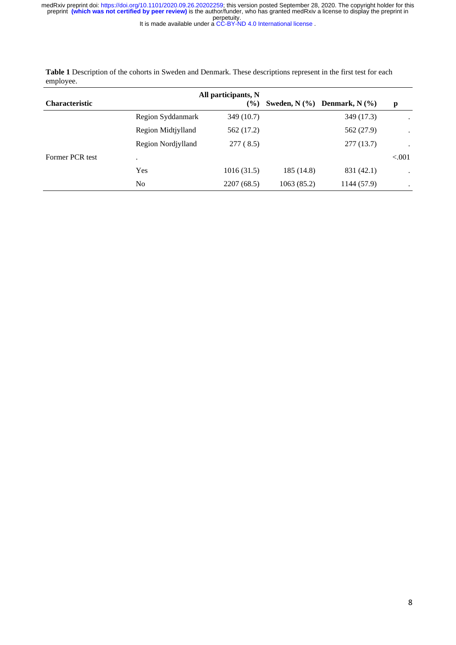It is made available under a CC-BY-ND 4.0 International license.

|                       |                    | All participants, N |            |                                  |           |  |
|-----------------------|--------------------|---------------------|------------|----------------------------------|-----------|--|
| <b>Characteristic</b> |                    | $\frac{6}{6}$       |            | Sweden, $N$ (%) Denmark, $N$ (%) | p         |  |
|                       | Region Syddanmark  | 349 (10.7)          |            | 349 (17.3)                       |           |  |
|                       | Region Midtjylland | 562 (17.2)          |            | 562 (27.9)                       | ٠         |  |
|                       | Region Nordiylland | 277 (8.5)           |            | 277 (13.7)                       | ٠         |  |
| Former PCR test       |                    |                     |            |                                  | ${<}001$  |  |
|                       | Yes                | 1016(31.5)          | 185(14.8)  | 831 (42.1)                       | $\bullet$ |  |
|                       | N <sub>0</sub>     | 2207 (68.5)         | 1063(85.2) | 1144 (57.9)                      | ٠         |  |

**Table 1** Description of the cohorts in Sweden and Denmark. These descriptions represent in the first test for each employee.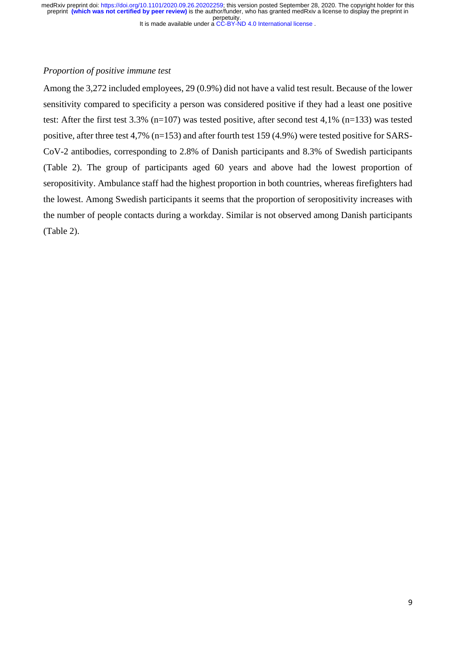#### It is made available under a CC-BY-ND 4.0 International license.

#### *Proportion of positive immune test*

Among the 3,272 included employees, 29 (0.9%) did not have a valid test result. Because of the lower sensitivity compared to specificity a person was considered positive if they had a least one positive test: After the first test 3.3% (n=107) was tested positive, after second test 4,1% (n=133) was tested positive, after three test 4,7% (n=153) and after fourth test 159 (4.9%) were tested positive for SARS-CoV-2 antibodies, corresponding to 2.8% of Danish participants and 8.3% of Swedish participants (Table 2). The group of participants aged 60 years and above had the lowest proportion of seropositivity. Ambulance staff had the highest proportion in both countries, whereas firefighters had the lowest. Among Swedish participants it seems that the proportion of seropositivity increases with the number of people contacts during a workday. Similar is not observed among Danish participants (Table 2).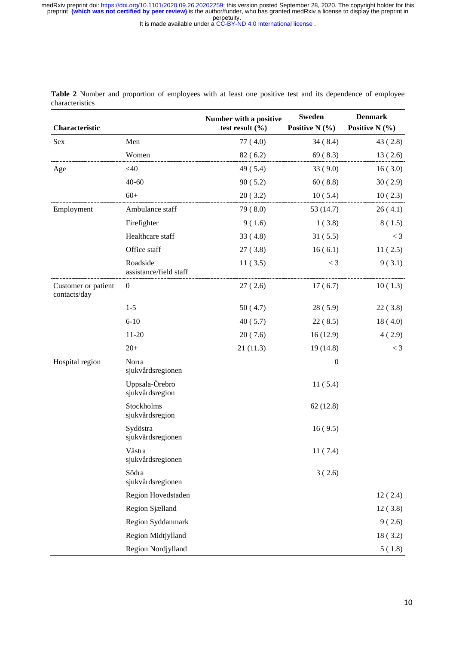It is made available under a CC-BY-ND 4.0 International license.

| Characteristic                      |                                    | Number with a positive<br>test result $(\% )$ | <b>Sweden</b><br>Positive N $(\% )$ | <b>Denmark</b><br>Positive N $(\% )$ |
|-------------------------------------|------------------------------------|-----------------------------------------------|-------------------------------------|--------------------------------------|
| Sex                                 | Men                                | 77(4.0)                                       | 34(8.4)                             | 43(2.8)                              |
|                                     | Women                              | 82(6.2)                                       | 69(8.3)                             | 13(2.6)                              |
| Age                                 | $<$ 40                             | 49(5.4)                                       | 33(9.0)                             | 16(3.0)                              |
|                                     | $40 - 60$                          | 90(5.2)                                       | 60(8.8)                             | 30(2.9)                              |
|                                     | $60+$                              | 20(3.2)                                       | 10(5.4)                             | 10(2.3)                              |
| Employment                          | Ambulance staff                    | 79 (8.0)                                      | 53 (14.7)                           | 26(4.1)                              |
|                                     | Firefighter                        | 9(1.6)                                        | 1(3.8)                              | 8(1.5)                               |
|                                     | Healthcare staff                   | 33(4.8)                                       | 31(5.5)                             | $<$ 3                                |
|                                     | Office staff                       | 27(3.8)                                       | 16(6.1)                             | 11(2.5)                              |
|                                     | Roadside<br>assistance/field staff | 11(3.5)                                       | $<$ 3                               | 9(3.1)                               |
| Customer or patient<br>contacts/day | $\boldsymbol{0}$                   | 27(2.6)                                       | 17(6.7)                             | 10(1.3)                              |
|                                     | $1 - 5$                            | 50(4.7)                                       | 28(5.9)                             | 22(3.8)                              |
|                                     | $6 - 10$                           | 40(5.7)                                       | 22(8.5)                             | 18(4.0)                              |
|                                     | $11 - 20$                          | 20(7.6)                                       | 16(12.9)                            | 4(2.9)                               |
|                                     | $20+$                              | 21(11.3)                                      | 19(14.8)                            | $<$ 3                                |
| Hospital region                     | Norra<br>sjukvårdsregionen         |                                               | $\boldsymbol{0}$                    |                                      |
|                                     | Uppsala-Örebro<br>sjukvårdsregion  |                                               | 11(5.4)                             |                                      |
|                                     | Stockholms<br>sjukvårdsregion      |                                               | 62(12.8)                            |                                      |
|                                     | Sydöstra<br>sjukvårdsregionen      |                                               | 16(9.5)                             |                                      |
|                                     | Västra<br>sjukvårdsregionen        |                                               | 11(7.4)                             |                                      |
|                                     | Södra<br>sjukvårdsregionen         |                                               | 3(2.6)                              |                                      |
|                                     | Region Hovedstaden                 |                                               |                                     | 12(2.4)                              |
|                                     | Region Sjælland                    |                                               |                                     | 12(3.8)                              |
|                                     | Region Syddanmark                  |                                               |                                     | 9(2.6)                               |
|                                     | Region Midtjylland                 |                                               |                                     | 18(3.2)                              |
|                                     | Region Nordjylland                 |                                               |                                     | 5(1.8)                               |

**Table 2** Number and proportion of employees with at least one positive test and its dependence of employee characteristics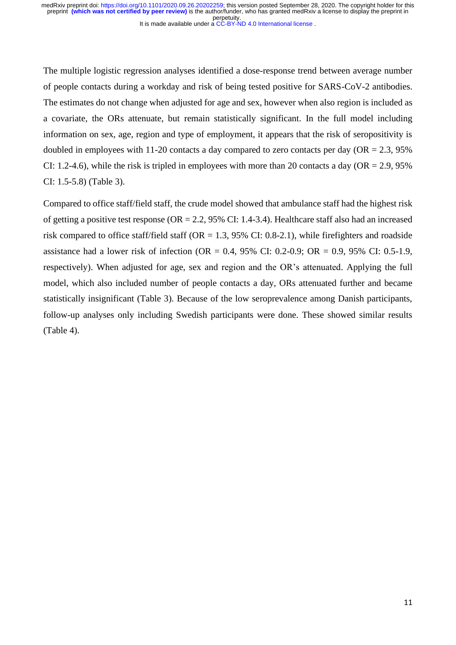The multiple logistic regression analyses identified a dose-response trend between average number of people contacts during a workday and risk of being tested positive for SARS-CoV-2 antibodies. The estimates do not change when adjusted for age and sex, however when also region is included as a covariate, the ORs attenuate, but remain statistically significant. In the full model including information on sex, age, region and type of employment, it appears that the risk of seropositivity is doubled in employees with 11-20 contacts a day compared to zero contacts per day ( $OR = 2.3$ , 95%) CI: 1.2-4.6), while the risk is tripled in employees with more than 20 contacts a day ( $OR = 2.9$ , 95%) CI: 1.5-5.8) (Table 3).

Compared to office staff/field staff, the crude model showed that ambulance staff had the highest risk of getting a positive test response (OR = 2.2, 95% CI: 1.4-3.4). Healthcare staff also had an increased risk compared to office staff/field staff (OR = 1.3, 95% CI: 0.8-2.1), while firefighters and roadside assistance had a lower risk of infection (OR = 0.4,  $95\%$  CI: 0.2-0.9; OR = 0.9,  $95\%$  CI: 0.5-1.9, respectively). When adjusted for age, sex and region and the OR's attenuated. Applying the full model, which also included number of people contacts a day, ORs attenuated further and became statistically insignificant (Table 3). Because of the low seroprevalence among Danish participants, follow-up analyses only including Swedish participants were done. These showed similar results (Table 4).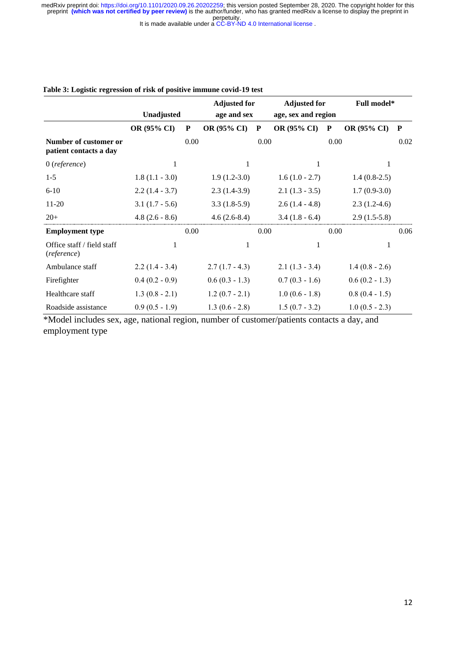It is made available under a CC-BY-ND 4.0 International license.

|                                                 |                  |      | <b>Adjusted for</b> |      | <b>Adjusted for</b> |      | Full model*      |      |
|-------------------------------------------------|------------------|------|---------------------|------|---------------------|------|------------------|------|
|                                                 | Unadjusted       |      | age and sex         |      | age, sex and region |      |                  |      |
|                                                 | OR (95% CI)      | P    | OR (95% CI)         | P    | OR (95% CI)         | P    | OR (95% CI)      | P    |
| Number of customer or<br>patient contacts a day |                  | 0.00 |                     | 0.00 |                     | 0.00 |                  | 0.02 |
| $0$ (reference)                                 | 1                |      | 1                   |      | 1                   |      | 1                |      |
| $1 - 5$                                         | $1.8(1.1 - 3.0)$ |      | $1.9(1.2-3.0)$      |      | $1.6(1.0 - 2.7)$    |      | $1.4(0.8-2.5)$   |      |
| $6 - 10$                                        | $2.2(1.4 - 3.7)$ |      | $2.3(1.4-3.9)$      |      | $2.1(1.3 - 3.5)$    |      | $1.7(0.9-3.0)$   |      |
| $11-20$                                         | $3.1(1.7 - 5.6)$ |      | $3.3(1.8-5.9)$      |      | $2.6(1.4 - 4.8)$    |      | $2.3(1.2-4.6)$   |      |
| $20+$                                           | $4.8(2.6 - 8.6)$ |      | $4.6(2.6-8.4)$      |      | $3.4(1.8 - 6.4)$    |      | $2.9(1.5-5.8)$   |      |
| <b>Employment type</b>                          |                  | 0.00 |                     | 0.00 |                     | 0.00 |                  | 0.06 |
| Office staff / field staff<br>(reference)       | $\mathbf{1}$     |      | $\mathbf{1}$        |      | 1                   |      | 1                |      |
| Ambulance staff                                 | $2.2(1.4 - 3.4)$ |      | $2.7(1.7 - 4.3)$    |      | $2.1(1.3 - 3.4)$    |      | $1.4(0.8 - 2.6)$ |      |
| Firefighter                                     | $0.4(0.2 - 0.9)$ |      | $0.6(0.3 - 1.3)$    |      | $0.7(0.3 - 1.6)$    |      | $0.6(0.2 - 1.3)$ |      |
| Healthcare staff                                | $1.3(0.8 - 2.1)$ |      | $1.2(0.7 - 2.1)$    |      | $1.0(0.6 - 1.8)$    |      | $0.8(0.4 - 1.5)$ |      |
| Roadside assistance                             | $0.9(0.5 - 1.9)$ |      | $1.3(0.6 - 2.8)$    |      | $1.5(0.7 - 3.2)$    |      | $1.0(0.5 - 2.3)$ |      |

#### **Table 3: Logistic regression of risk of positive immune covid-19 test**

\*Model includes sex, age, national region, number of customer/patients contacts a day, and employment type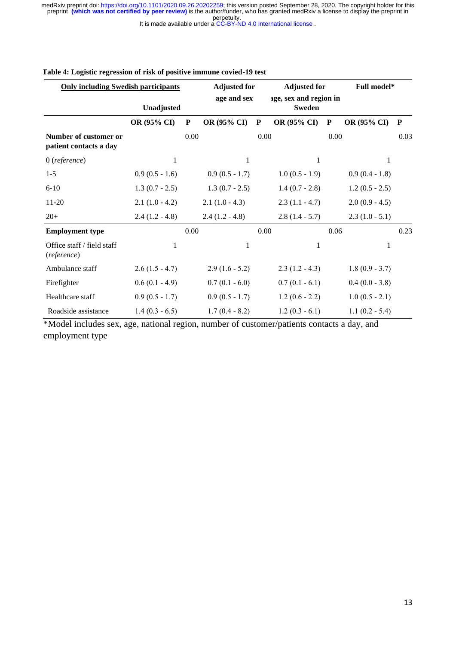It is made available under a CC-BY-ND 4.0 International license.

| <b>Only including Swedish participants</b>      |                  | <b>Adjusted for</b> |                  | <b>Adjusted for</b> |                                         | Full model* |                  |           |
|-------------------------------------------------|------------------|---------------------|------------------|---------------------|-----------------------------------------|-------------|------------------|-----------|
|                                                 | Unadjusted       |                     | age and sex      |                     | age, sex and region in<br><b>Sweden</b> |             |                  |           |
|                                                 | OR (95% CI)      | ${\bf P}$           | OR (95% CI)      | ${\bf P}$           | OR (95% CI)                             | ${\bf P}$   | OR (95% CI)      | ${\bf P}$ |
| Number of customer or<br>patient contacts a day |                  | 0.00                |                  | 0.00                |                                         | 0.00        |                  | 0.03      |
| $0$ (reference)                                 | $\mathbf{1}$     |                     | $\mathbf{1}$     |                     | 1                                       |             | 1                |           |
| $1 - 5$                                         | $0.9(0.5 - 1.6)$ |                     | $0.9(0.5 - 1.7)$ |                     | $1.0(0.5 - 1.9)$                        |             | $0.9(0.4 - 1.8)$ |           |
| $6 - 10$                                        | $1.3(0.7 - 2.5)$ |                     | $1.3(0.7 - 2.5)$ |                     | $1.4(0.7 - 2.8)$                        |             | $1.2(0.5 - 2.5)$ |           |
| $11-20$                                         | $2.1(1.0 - 4.2)$ |                     | $2.1(1.0 - 4.3)$ |                     | $2.3(1.1 - 4.7)$                        |             | $2.0(0.9 - 4.5)$ |           |
| $20+$                                           | $2.4(1.2 - 4.8)$ |                     | $2.4(1.2 - 4.8)$ |                     | $2.8(1.4 - 5.7)$                        |             | $2.3(1.0 - 5.1)$ |           |
| <b>Employment type</b>                          |                  | 0.00                |                  | 0.00                |                                         | 0.06        |                  | 0.23      |
| Office staff / field staff<br>(reference)       | $\mathbf{1}$     |                     | $\mathbf{1}$     |                     | 1                                       |             | 1                |           |
| Ambulance staff                                 | $2.6(1.5 - 4.7)$ |                     | $2.9(1.6 - 5.2)$ |                     | $2.3(1.2 - 4.3)$                        |             | $1.8(0.9 - 3.7)$ |           |
| Firefighter                                     | $0.6(0.1 - 4.9)$ |                     | $0.7(0.1 - 6.0)$ |                     | $0.7(0.1 - 6.1)$                        |             | $0.4(0.0 - 3.8)$ |           |
| Healthcare staff                                | $0.9(0.5 - 1.7)$ |                     | $0.9(0.5 - 1.7)$ |                     | $1.2(0.6 - 2.2)$                        |             | $1.0(0.5 - 2.1)$ |           |
| Roadside assistance                             | $1.4(0.3 - 6.5)$ |                     | $1.7(0.4 - 8.2)$ |                     | $1.2(0.3 - 6.1)$                        |             | $1.1(0.2 - 5.4)$ |           |

#### **Table 4: Logistic regression of risk of positive immune covied-19 test**

\*Model includes sex, age, national region, number of customer/patients contacts a day, and employment type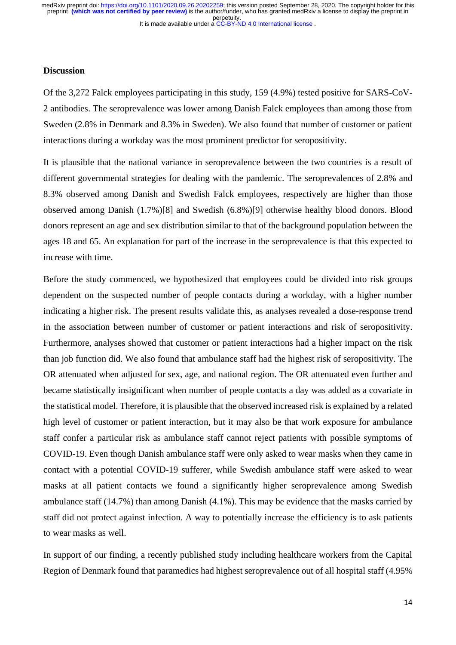### **Discussion**

Of the 3,272 Falck employees participating in this study, 159 (4.9%) tested positive for SARS-CoV-2 antibodies. The seroprevalence was lower among Danish Falck employees than among those from Sweden (2.8% in Denmark and 8.3% in Sweden). We also found that number of customer or patient interactions during a workday was the most prominent predictor for seropositivity.

It is plausible that the national variance in seroprevalence between the two countries is a result of different governmental strategies for dealing with the pandemic. The seroprevalences of 2.8% and 8.3% observed among Danish and Swedish Falck employees, respectively are higher than those observed among Danish (1.7%)[8] and Swedish (6.8%)[9] otherwise healthy blood donors. Blood donors represent an age and sex distribution similar to that of the background population between the ages 18 and 65. An explanation for part of the increase in the seroprevalence is that this expected to increase with time.

Before the study commenced, we hypothesized that employees could be divided into risk groups dependent on the suspected number of people contacts during a workday, with a higher number indicating a higher risk. The present results validate this, as analyses revealed a dose-response trend in the association between number of customer or patient interactions and risk of seropositivity. Furthermore, analyses showed that customer or patient interactions had a higher impact on the risk than job function did. We also found that ambulance staff had the highest risk of seropositivity. The OR attenuated when adjusted for sex, age, and national region. The OR attenuated even further and became statistically insignificant when number of people contacts a day was added as a covariate in the statistical model. Therefore, it is plausible that the observed increased risk is explained by a related high level of customer or patient interaction, but it may also be that work exposure for ambulance staff confer a particular risk as ambulance staff cannot reject patients with possible symptoms of COVID-19. Even though Danish ambulance staff were only asked to wear masks when they came in contact with a potential COVID-19 sufferer, while Swedish ambulance staff were asked to wear masks at all patient contacts we found a significantly higher seroprevalence among Swedish ambulance staff (14.7%) than among Danish (4.1%). This may be evidence that the masks carried by staff did not protect against infection. A way to potentially increase the efficiency is to ask patients to wear masks as well.

In support of our finding, a recently published study including healthcare workers from the Capital Region of Denmark found that paramedics had highest seroprevalence out of all hospital staff (4.95%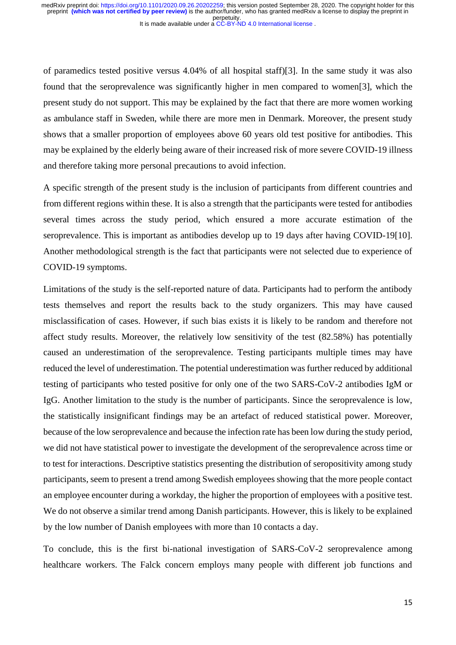of paramedics tested positive versus 4.04% of all hospital staff)[3]. In the same study it was also found that the seroprevalence was significantly higher in men compared to women[3], which the present study do not support. This may be explained by the fact that there are more women working as ambulance staff in Sweden, while there are more men in Denmark. Moreover, the present study shows that a smaller proportion of employees above 60 years old test positive for antibodies. This may be explained by the elderly being aware of their increased risk of more severe COVID-19 illness and therefore taking more personal precautions to avoid infection.

A specific strength of the present study is the inclusion of participants from different countries and from different regions within these. It is also a strength that the participants were tested for antibodies several times across the study period, which ensured a more accurate estimation of the seroprevalence. This is important as antibodies develop up to 19 days after having COVID-19[10]. Another methodological strength is the fact that participants were not selected due to experience of COVID-19 symptoms.

Limitations of the study is the self-reported nature of data. Participants had to perform the antibody tests themselves and report the results back to the study organizers. This may have caused misclassification of cases. However, if such bias exists it is likely to be random and therefore not affect study results. Moreover, the relatively low sensitivity of the test (82.58%) has potentially caused an underestimation of the seroprevalence. Testing participants multiple times may have reduced the level of underestimation. The potential underestimation was further reduced by additional testing of participants who tested positive for only one of the two SARS-CoV-2 antibodies IgM or IgG. Another limitation to the study is the number of participants. Since the seroprevalence is low, the statistically insignificant findings may be an artefact of reduced statistical power. Moreover, because of the low seroprevalence and because the infection rate has been low during the study period, we did not have statistical power to investigate the development of the seroprevalence across time or to test for interactions. Descriptive statistics presenting the distribution of seropositivity among study participants, seem to present a trend among Swedish employees showing that the more people contact an employee encounter during a workday, the higher the proportion of employees with a positive test. We do not observe a similar trend among Danish participants. However, this is likely to be explained by the low number of Danish employees with more than 10 contacts a day.

To conclude, this is the first bi-national investigation of SARS-CoV-2 seroprevalence among healthcare workers. The Falck concern employs many people with different job functions and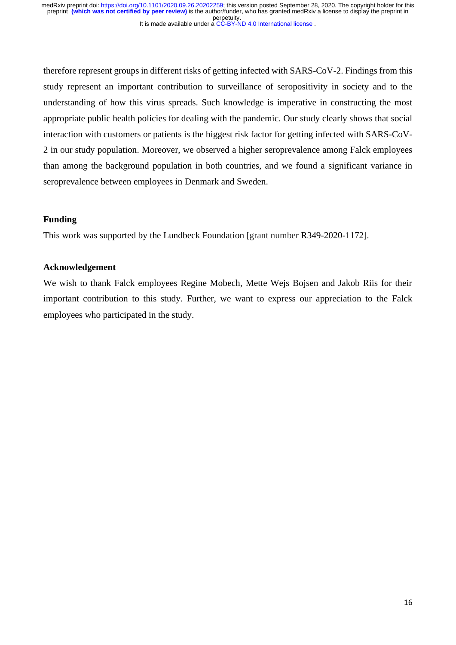therefore represent groups in different risks of getting infected with SARS-CoV-2. Findings from this study represent an important contribution to surveillance of seropositivity in society and to the understanding of how this virus spreads. Such knowledge is imperative in constructing the most appropriate public health policies for dealing with the pandemic. Our study clearly shows that social interaction with customers or patients is the biggest risk factor for getting infected with SARS-CoV-2 in our study population. Moreover, we observed a higher seroprevalence among Falck employees than among the background population in both countries, and we found a significant variance in seroprevalence between employees in Denmark and Sweden.

# **Funding**

This work was supported by the Lundbeck Foundation [grant number R349-2020-1172].

# **Acknowledgement**

We wish to thank Falck employees Regine Mobech, Mette Wejs Bojsen and Jakob Riis for their important contribution to this study. Further, we want to express our appreciation to the Falck employees who participated in the study.